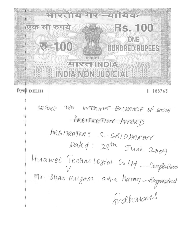

# दिल्ली DELHI

H 188763

BEFORE THE INTERNET EXCHANGE OF DOOR ARBITRATION AWARD ARBITRAFOR: S. SRIDHARAN Dated: 28th June 2009 Huawei Technologies Co49 -- Complainant Mr. Shar, mugam aska Karar, -- Respondent finalharans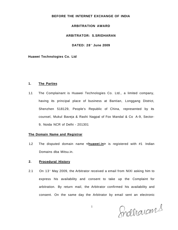# **BEFORE THE INTERNET EXCHANGE OF INDIA**

# **ARBITRATION AWARD**

## **ARBITRATOR: S.SRIDHARAN**

### **DATED: 28<sup>t</sup> <sup>n</sup> June 2009**

### **Huawei Technologies Co. Ltd**

### **1. The Parties**

1.1 The Complainant is Huawei Technologies Co. Ltd., a limited company, having its principal place of business at Bantian, Longgang District, Shenzhen 518129, People's Republic of China, represented by its counsel, Mukul Baveja & Rashi Nagpal of Fox Mandal & Co A-9, Sector-9, Noida NCR of Delhi - 201301

## **The Domain Name and Registrar**

1.2 The disputed domain name **<huawei.in>** is registered with #1 Indian Domains dba Mitsu.in.

# **2. Procedural History**

2.1 On 13 $^{\circ}$  May 2009, the Arbitrator received a email from NIXI asking him to express his availability and consent to take up the Complaint for arbitration. By return mail, the Arbitrator confirmed his availability and consent. On the same day the Arbitrator by email sent an electronic

Indharams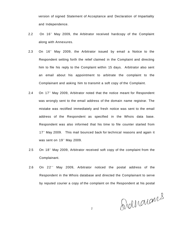version of signed Statement of Acceptance and Declaration of Impartiality and Independence.

- 2.2 On 16<sup>th</sup> May 2009, the Arbitrator received hardcopy of the Complaint along with Annexures.
- 2.3 On 16<sup>th</sup> May 2009, the Arbitrator issued by email a Notice to the Respondent setting forth the relief claimed in the Complaint and directing him to file his reply to the Complaint within 15 days. Arbitrator also sent an email about his appointment to arbitrate the complaint to the Complainant and asking him to transmit a soft copy of the Complaint.
- 2.4 On 17<sup>th</sup> May 2009, Arbitrator noted that the notice meant for Respondent was wrongly sent to the email address of the domain name registrar. The mistake was rectified immediately and fresh notice was sent to the email address of the Respondent as specified in the Whois data base. Respondent was also informed that his time to file counter started from 17<sup>th</sup> May 2009. This mail bounced back for technical reasons and again it was sent on 19<sup>th</sup> May 2009.
- $2.5$  On 18<sup>th</sup> May 2009, Arbitrator received soft copy of the complaint from the Complainant.
- $2.6$  On  $22^{nd}$  May 2009, Arbitrator noticed the postal address of the Respondent in the Whois database and directed the Complainant to serve by reputed courier a copy of the complaint on the Respondent at his postal

Svolhouans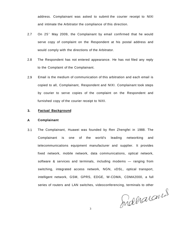address. Complainant was asked to submit the courier receipt to NIXI and intimate the Arbitrator the compliance of this direction.

- 2.7 On 25<sup>t</sup> May 2009, the Complainant by email confirmed that he would serve copy of complaint on the Respondent at his postal address and would comply with the directions of the Arbitrator.
- 2.8 The Respondent has not entered appearance. He has not filed any reply to the Complaint of the Complainant.
- 2.9 Email is the medium of communication of this arbitration and each email is copied to all, Complainant, Respondent and NIXI. Complainant took steps by courier to serve copies of the complaint on the Respondent and furnished copy of the courier receipt to NIXI.

#### **3. Factual Background**

#### **A Complainant**

3.1 The Complainant, Huawei was founded by Ren Zhengfei in 1988. The Complainant is one of the world's leading networking and telecommunications equipment manufacturer and supplier. It provides fixed network, mobile network, data communications, optical network, software & services and terminals, including modems — ranging from switching, integrated access network, NGN, xDSL, optical transport, intelligent network, GSM, GPRS, EDGE, W-CDMA, CDMA2000, a full series of routers and LAN switches, videoconferencing, terminals to other

Indharans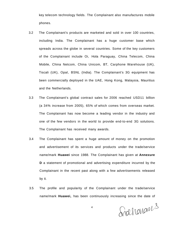key telecom technology fields. The Complainant also manufactures mobile phones.

- 3.2 The Complainant's products are marketed and sold in over 100 countries, including India. The Complainant has a huge customer base which spreads across the globe in several countries. Some of the key customers of the Complainant include Oi, Hola Paraguay, China Telecom, China Mobile, China Netcom, China Unicom, BT, Carphone Warehouse (UK), Tiscali (UK), Opal, BSNL (India). The Complainant's 3G equipment has been commercially deployed in the UAE, Hong Kong, Malaysia, Mauritius and the Netherlands.
- 3.3 The Complainant's global contract sales for 2006 reached USD11 billion (a 34% increase from 2005), 65% of which comes from overseas market. The Complainant has now become a leading vendor in the industry and one of the few vendors in the world to provide end-to-end 3G solutions. The Complainant has received many awards.
- 3.4 The Complainant has spent a huge amount of money on the promotion and advertisement of its services and products under the trade/service name/mark **Huawei** since 1988. The Complainant has given at **Annexure D** a statement of promotional and advertising expenditure incurred by the Complainant in the recent past along with a few advertisements released by it.
- 3.5 The profile and popularity of the Complainant under the trade/service name/mark **Huawei,** has been continuously increasing since the date of

Shaharans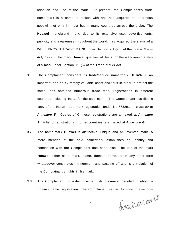adoption and use of the mark. At present, the Complainant's trade name/mark is a name to reckon with and has acquired an enormous goodwill not only in India but in many countries across the globe. The **Huawei** mark/brand mark, due to its extensive use, advertisements, publicity and awareness throughout the world, has acquired the status of a WELL KNOWN TRADE MARK under Section 2(1)(zg) of the Trade Marks Act, 1999. The mark **Huawei** qualifies all tests for the well-known status of a mark under Section 11 (6) of the Trade Marks Act.

- 3.6 The Complainant considers its trade/service name/mark, **HUAWEI,** an important and an extremely valuable asset and thus in order to protect the same, has obtained numerous trade mark registrations in different countries including India, for the said mark. The Complainant has filed a copy of the Indian trade mark registration under No.773291 in class 09 at **Annexure E.** Copies of Chinese registrations are annexed at **Annexure F.** A list of registrations in other countries is annexed at **Annexure G.**
- 3.7 The name/mark **Huawei** is distinctive, unique and an invented mark. A mere mention of the said name/mark establishes an identity and connection with the Complainant and none else. The use of the mark **Huawei** either as a mark, name, domain name, or in any other form whatsoever constitutes infringement and passing off and is a violation of the Complainant's rights in his mark.
- 3.8 The Complainant, in order to expand its presence, decided to obtain a domain name registration. The Complainant settled for [www.huawei.com](http://www.huawei.com)

Iraharans

5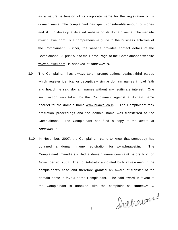as a natural extension of its corporate name for the registration of its domain name. The complainant has spent considerable amount of money and skill to develop a detailed website on its domain name. The website [www.huawei.com](http://www.huawei.com) is a comprehensive guide to the business activities of the Complainant. Further, the website provides contact details of the Complainant. A print out of the Home Page of the Complainant's website [www.huawei.com i](http://www.huawei.com)s annexed at **Annexure H.** 

- 3.9 The Complainant has always taken prompt actions against third parties which register identical or deceptively similar domain names in bad faith and hoard the said domain names without any legitimate interest. One such action was taken by the Complainant against a domain name hoarder for the domain name [www.huawei.co.in .](http://www.huawei.co.in) The Complainant took arbitration proceedings and the domain name was transferred to the Complainant. The Complainant has filed a copy of the award at **Annexure I.**
- 3.10 In November, 2007, the Complainant came to know that somebody has obtained a domain name registration for [www.huawei.in.](http://www.huawei.in) The Complainant immediately filed a domain name complaint before NIXI on November 20, 2007. The Ld. Arbitrator appointed by NIXI saw merit in the complainant's case and therefore granted an award of transfer of the domain name in favour of the Complainant. The said award in favour of the Complainant is annexed with the complaint as **Annexure J.**

Iraharans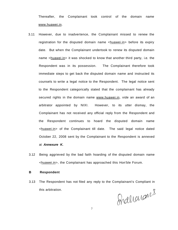Thereafter, the Complainant took control of the domain name [www.huawei.in.](http://www.huawei.in)

- 3.11 However, due to inadvertence, the Complainant missed to renew the registration for the disputed domain name <huawei.in> before its expiry date. But when the Complainant undertook to renew its disputed domain name <huawei.in> it was shocked to know that another third party, i.e. the Respondent was in its possession. The Complainant therefore took immediate steps to get back the disputed domain name and instructed its counsels to write a legal notice to the Respondent. The legal notice sent to the Respondent categorically stated that the complainant has already secured rights in the domain name [www.huawei.in,](http://www.huawei.in) vide an award of an arbitrator appointed by NIXI. However, to its utter dismay, the Complainant has not received any official reply from the Respondent and the Respondent continues to hoard the disputed domain name <huawei.in> of the Complainant till date. The said legal notice dated October 22, 2008 sent by the Complainant to the Respondent is annexed at **Annexure K.**
- 3.12 Being aggrieved by the bad faith hoarding of the disputed domain name <huawei.in>, the Complainant has approached this Hon'ble Forum.

## **B Respondent**

3.13 The Respondent has not filed any reply to the Complainant's Compliant in

this arbitration.<br> $Q_A A D I A A A B B$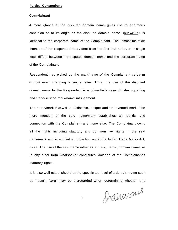### **Parties Contentions**

### **Complainant**

A mere glance at the disputed domain name gives rise to enormous confusion as to its origin as the disputed domain name  $\langle$ huawei.in > is identical to the corporate name of the Complainant. The utmost malafide intention of the respondent is evident from the fact that not even a single letter differs between the disputed domain name and the corporate name of the Complainant

Respondent has picked up the mark/name of the Complainant verbatim without even changing a single letter. Thus, the use of the disputed domain name by the Respondent is a prima facie case of cyber squatting and trade/service mark/name infringement.

The name/mark **Huawei** is distinctive, unique and an invented mark. The mere mention of the said name/mark establishes an identity and connection with the Complainant and none else. The Complainant owns all the rights including statutory and common law rights in the said name/mark and is entitled to protection under the Indian Trade Marks Act, 1999. The use of the said name either as a mark, name, domain name, or in any other form whatsoever constitutes violation of the Complainant's statutory rights.

It is also well established that the specific top level of a domain name such as ".com", ".org" may be disregarded when determining whether it is

franarans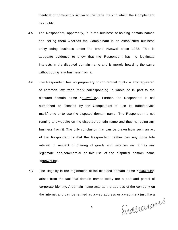identical or confusingly similar to the trade mark in which the Complainant has rights.

- 4.5 The Respondent, apparently, is in the business of holding domain names and selling them whereas the Complainant is an established business entity doing business under the brand **Huawei** since 1988. This is adequate evidence to show that the Respondent has no legitimate interests in the disputed domain name and is merely hoarding the same without doing any business from it.
- 4.6 The Respondent has no proprietary or contractual rights in any registered or common law trade mark corresponding in whole or in part to the disputed domain name <huawei.in>. Further, the Respondent is not authorized or licensed by the Complainant to use its trade/service mark/name or to use the disputed domain name. The Respondent is not running any website on the disputed domain name and thus not doing any business from it. The only conclusion that can be drawn from such an act of the Respondent is that the Respondent neither has any bona fide interest in respect of offering of goods and services nor it has any legitimate non-commercial or fair use of the disputed domain name <huawei.in>.
- 4.7 The illegality in the registration of the disputed domain name <huawei.in> arises from the fact that domain names today are a part and parcel of corporate identity. A domain name acts as the address of the company on

the internet and can be termed as a web address or a web mark just like a

9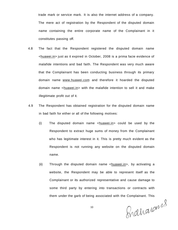trade mark or service mark. It is also the internet address of a company. The mere act of registration by the Respondent of the disputed domain name containing the entire corporate name of the Complainant in it constitutes passing off.

- 4.8 The fact that the Respondent registered the disputed domain name <huawei.in> just as it expired in October, 2008 is a prima facie evidence of malafide intentions and bad faith. The Respondent was very much aware that the Complainant has been conducting business through its primary domain name [www.huawei.com](http://www.huawei.com) and therefore it hoarded the disputed domain name <huawei.in> with the malafide intention to sell it and make illegitimate profit out of it.
- 4.9 The Respondent has obtained registration for the disputed domain name in bad faith for either or all of the following motives:
	- (i) The disputed domain name <huawei.in> could be used by the Respondent to extract huge sums of money from the Complainant who has legitimate interest in it. This is pretty much evident as the Respondent is not running any website on the disputed domain name.
	- (ii) Through the disputed domain name  $\langle$ huawei.in>, by activating a website, the Respondent may be able to represent itself as the Complainant or its authorized representative and cause damage to some third party by entering into transactions or contracts with them under the garb of being associated with the Complainant. This

Shaharans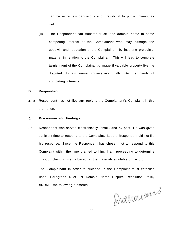can be extremely dangerous and prejudicial to public interest as well.

(iii) The Respondent can transfer or sell the domain name to some competing interest of the Complainant who may damage the goodwill and reputation of the Complainant by inserting prejudicial material in relation to the Complainant. This will lead to complete tarnishment of the Complainant's image if valuable property like the disputed domain name <huawei.in> falls into the hands of competing interests.

#### **B. Respondent**

4.10 Respondent has not filed any reply to the Complainant's Complaint in this arbitration.

#### **5. Discussion and Findings**

5.1 Respondent was served electronically (email) and by post. He was given sufficient time to respond to the Complaint. But the Respondent did not file his response. Since the Respondent has chosen not to respond to this Complaint within the time granted to him, I am proceeding to determine this Complaint on merits based on the materials available on record.

The Complainant in order to succeed in the Complaint must establish under Paragraph 4 of .IN Domain Name Dispute Resolution Policy (INDRP) the following elements:

Shaharans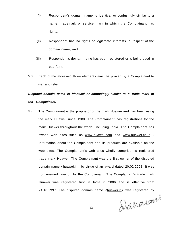- (I) Respondent's domain name is identical or confusingly similar to a name, trademark or service mark in which the Complainant has rights;
- (II) Respondent has no rights or legitimate interests in respect of the domain name; and
- (III) Respondent's domain name has been registered or is being used in bad faith.
- 5.3 Each of the aforesaid three elements must be proved by a Complainant to warrant relief.

# **Disputed domain name is identical or confusingly similar to a trade mark of the Complainant.**

5.4 The Complainant is the proprietor of the mark Huawei and has been using the mark Huawei since 1988. The Complainant has registrations for the mark Huawei throughout the world, including India. The Complainant has owned web sites such as [www.huawei.com](http://www.huawei.com) and [www.huawei.co.in](http://www.huawei.co.in) . Information about the Complainant and its products are available on the web sites. The Complainant's web sites wholly comprise its registered trade mark Huawei. The Complainant was the first owner of the disputed domain name <huawei.in> by virtue of an award dated 20.02.2008. It was not renewed later on by the Complainant. The Complainant's trade mark Huawei was registered first in India in 2006 and is effective from 24.10.1997. The disputed domain name <huawei.in> was registered by

Sianarans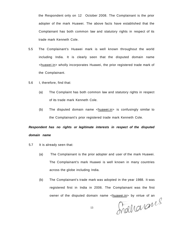the Respondent only on 12 October 2008. The Complainant is the prior adopter of the mark Huawei. The above facts have established that the Complainant has both common law and statutory rights in respect of its trade mark Kenneth Cole.

- 5.5 The Complainant's Huawei mark is well known throughout the world including India. It is clearly seen that the disputed domain name <huawei.in> wholly incorporates Huawei, the prior registered trade mark of the Complainant.
- 5.6 I, therefore, find that:
	- (a) The Complaint has both common law and statutory rights in respect of its trade mark Kenneth Cole.
	- (b) The disputed domain name  $\langle$ huawei.in> is confusingly similar to the Complainant's prior registered trade mark Kenneth Cole.

# **Respondent has no rights or legitimate interests in respect of the disputed domain name**

- 5.7 It is already seen that:
	- (a) The Complainant is the prior adopter and user of the mark Huawei. The Complainant's mark Huawei is well known in many countries across the globe including India.
	- (b) The Complainant's trade mark was adopted in the year 1988. It was registered first in India in 2006. The Complainant was the first

owner of the disputed domain name <huawei.in> by virtue of an<br>
13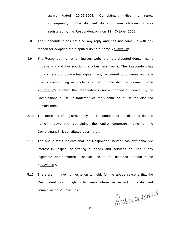award dated 20.02.2008. Complainant failed to renew subsequently. The disputed domain name <huawei.in> was registered by the Respondent only on 12 October 2008.

- 5.8 The Respondent has not filed any reply and has not come up with any reason for adopting the disputed domain name <huawei.in>
- 5.9 The Respondent is not running any website on the disputed domain name <huawei.in> and thus not doing any business from it. The Respondent has no proprietary or contractual rights in any registered or common law trade mark corresponding in whole or in part to the disputed domain name <huawei.in>. Further, the Respondent is not authorized or licensed by the Complainant to use its trade/service mark/name or to use the disputed domain name.
- 5.10 The mere act of registration by the Respondent of the disputed domain name <huawei.in>. containing the entire corporate name of the Complainant in it constitutes passing off.
- 5.11 The above facts indicate that the Respondent neither has any bona fide interest in respect of offering of goods and services nor has it any legitimate non-commercial or fair use of the disputed domain name <huawei.in>.
- 5.12 Therefore, I have no hesitation to hold, for the above reasons that the Respondent has no right or legitimate interest in respect of the disputed domain name <huawei.in>.

Induarans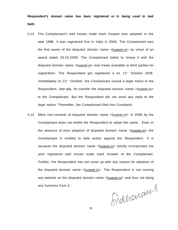**Respondent's domain name has been registered or is being used in bad faith.** 

- 5.13 The Complainant's well known trade mark Huawei was adopted in the year 1988. It was registered first in India in 2006. The Complainant was the first owner of the disputed domain name <huawei.in> by virtue of an award dated 20.02.2008. The Complainant failed to renew it and the disputed domain name <huawei.in> was freely available to third parties for registration. The Respondent got registered it on 12<sup>th</sup> October 2008. Immediately on 22<sup>®</sup> October, the Complainant issued a legal notice to the Respondent, *inter alia*, for transfer the disputed domain name <huawei.in> to the Complainant. But the Respondent did not send any reply to the legal notice. Thereafter, the Complainant filed this Complaint.
- 5.14 Mere non-renewal of disputed domain name <huawei.in> in 2008 by the Complainant does not entitle the Respondent to adopt the same. Even in the absence of prior adoption of disputed domain name <huawei.in> the Complainant is entitled to take action against the Respondent. It is because the disputed domain name <huawei.in> wholly incorporates the prior registered well known trade mark Huawei of the Complainant. Further, the Respondent has not come up with any reason for adoption of the disputed domain name <huawei.in>. The Respondent is not running any website on the disputed domain name <huawei.in> and thus not doing any business from it.

Grahamans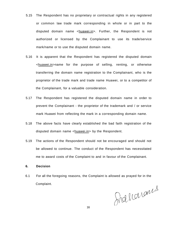- 5.15 The Respondent has no proprietary or contractual rights in any registered or common law trade mark corresponding in whole or in part to the disputed domain name <huawei.in>. Further, the Respondent is not authorized or licensed by the Complainant to use its trade/service mark/name or to use the disputed domain name.
- 5.16 It is apparent that the Respondent has registered the disputed domain <huawei.in>name for the purpose of selling, renting, or otherwise transferring the domain name registration to the Complainant, who is the proprietor of the trade mark and trade name Huawei, or to a competitor of the Complainant, for a valuable consideration.
- 5.17 The Respondent has registered the disputed domain name in order to prevent the Complainant - the proprietor of the trademark and / or service mark Huawei from reflecting the mark in a corresponding domain name.
- 5.18 The above facts have clearly established the bad faith registration of the disputed domain name <huawei.in> by the Respondent.
- 5.19 The actions of the Respondent should not be encouraged and should not be allowed to continue. The conduct of the Respondent has necessitated me to award costs of the Complaint to and in favour of the Complainant.
- **6. Decision**
- 6.1 For all the foregoing reasons, the Complaint is allowed as prayed for in the Complaint.

Shaharans